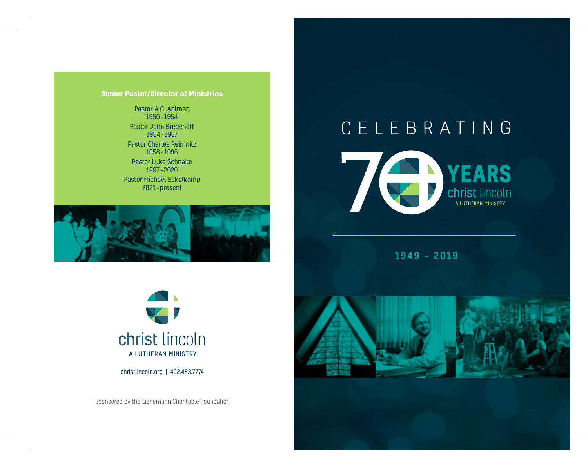### **Senior Pastor/Director of Ministries**

Pastor A.G. Ahlman 1950 – 1954 Pastor John Bredehoft 1954 – 1957 Pastor Charles Reimnitz 1958 – 1996 Pastor Luke Schnake 1997 – 2020 Pastor Michael Eckelkamp

2021 – present



# CELEBRATING



1949 – 2019



christlincoln.org | 402.483.7774

Sponsored by the Lienemann Charitable Foundation